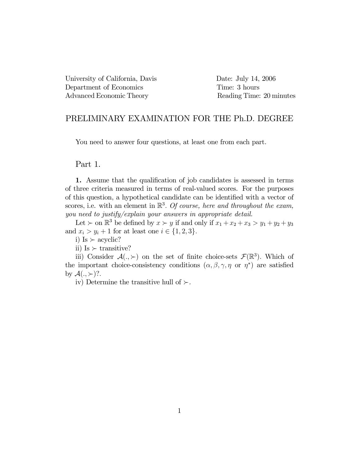University of California, Davis Date: July 14, 2006 Department of Economics Time: 3 hours Advanced Economic Theory Reading Time: 20 minutes

## PRELIMINARY EXAMINATION FOR THE Ph.D. DEGREE

You need to answer four questions, at least one from each part.

## Part 1.

1. Assume that the qualification of job candidates is assessed in terms of three criteria measured in terms of real-valued scores. For the purposes of this question, a hypothetical candidate can be identified with a vector of scores, i.e. with an element in  $\mathbb{R}^3$ . Of course, here and throughout the exam, you need to justify/explain your answers in appropriate detail.

Let  $\succ$  on  $\mathbb{R}^3$  be defined by  $x \succ y$  if and only if  $x_1 + x_2 + x_3 > y_1 + y_2 + y_3$ and  $x_i > y_i + 1$  for at least one  $i \in \{1, 2, 3\}.$ 

i) Is  $\succ$  acyclic?

ii) Is  $\succ$  transitive?

iii) Consider  $\mathcal{A}(.,\succ)$  on the set of finite choice-sets  $\mathcal{F}(\mathbb{R}^3)$ . Which of the important choice-consistency conditions  $(\alpha, \beta, \gamma, \eta \text{ or } \eta^*)$  are satisfied by  $\mathcal{A}(.,\succ)$ ?.

iv) Determine the transitive hull of  $\succ$ .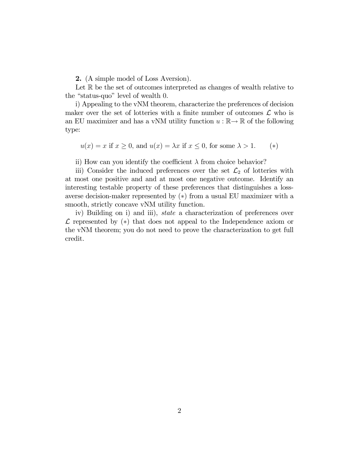2. (A simple model of Loss Aversion).

Let  $\mathbb R$  be the set of outcomes interpreted as changes of wealth relative to the "status-quo" level of wealth 0.

i) Appealing to the vNM theorem, characterize the preferences of decision maker over the set of lotteries with a finite number of outcomes  $\mathcal L$  who is an EU maximizer and has a vNM utility function  $u : \mathbb{R} \to \mathbb{R}$  of the following type:

$$
u(x) = x
$$
 if  $x \ge 0$ , and  $u(x) = \lambda x$  if  $x \le 0$ , for some  $\lambda > 1$ . (\*)

ii) How can you identify the coefficient  $\lambda$  from choice behavior?

iii) Consider the induced preferences over the set  $\mathcal{L}_2$  of lotteries with at most one positive and and at most one negative outcome. Identify an interesting testable property of these preferences that distinguishes a lossaverse decision-maker represented by (∗) from a usual EU maximizer with a smooth, strictly concave vNM utility function.

iv) Building on i) and iii), state a characterization of preferences over  $\mathcal L$  represented by  $(*)$  that does not appeal to the Independence axiom or the vNM theorem; you do not need to prove the characterization to get full credit.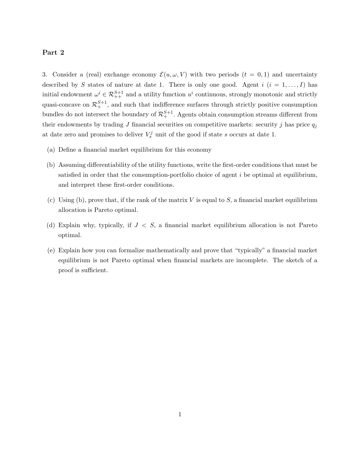## **Part 2**

3. Consider a (real) exchange economy  $\mathcal{E}(u, \omega, V)$  with two periods  $(t = 0, 1)$  and uncertainty described by S states of nature at date 1. There is only one good. Agent  $i$   $(i = 1, ..., I)$  has initial endowment  $\omega^i \in \mathcal{R}_{++}^{S+1}$  and a utility function  $u^i$  continuous, strongly monotonic and strictly quasi-concave on  $\mathcal{R}^{S+1}_+$ , and such that indifference surfaces through strictly positive consumption bundles do not intersect the boundary of  $\mathcal{R}^{S+1}_+$ . Agents obtain consumption streams different from their endowments by trading J financial securities on competitive markets: security j has price  $q_j$ at date zero and promises to deliver  $V_s^j$  unit of the good if state s occurs at date 1.

- (a) Define a financial market equilibrium for this economy
- (b) Assuming differentiability of the utility functions, write the first-order conditions that must be satisfied in order that the consumption-portfolio choice of agent  $i$  be optimal at equilibrium, and interpret these first-order conditions.
- (c) Using (b), prove that, if the rank of the matrix  $V$  is equal to  $S$ , a financial market equilibrium allocation is Pareto optimal.
- (d) Explain why, typically, if  $J < S$ , a financial market equilibrium allocation is not Pareto optimal.
- (e) Explain how you can formalize mathematically and prove that "typically" a financial market equilibrium is not Pareto optimal when financial markets are incomplete. The sketch of a proof is sufficient.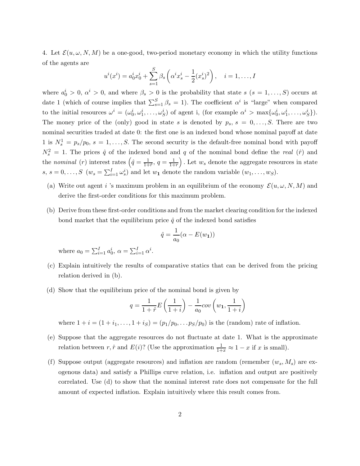4. Let  $\mathcal{E}(u, \omega, N, M)$  be a one-good, two-period monetary economy in which the utility functions of the agents are

$$
u^{i}(x^{i}) = a_{0}^{i}x_{0}^{i} + \sum_{s=1}^{S} \beta_{s} \left(\alpha^{i}x_{s}^{i} - \frac{1}{2}(x_{s}^{i})^{2}\right), \quad i = 1, ..., I
$$

where  $a_0^i > 0$ ,  $\alpha^i > 0$ , and where  $\beta_s > 0$  is the probability that state  $s$   $(s = 1, \ldots, S)$  occurs at date 1 (which of course implies that  $\sum_{s=1}^{S} \beta_s = 1$ ). The coefficient  $\alpha^i$  is "large" when compared to the initial resources  $\omega^i = (\omega_0^i, \omega_1^i, \ldots, \omega_S^i)$  of agent i, (for example  $\alpha^i > \max{\{\omega_0^i, \omega_1^i, \ldots, \omega_S^i\}}$ ). The money price of the (only) good in state s is denoted by  $p_s$ ,  $s = 0, \ldots, S$ . There are two nominal securities traded at date 0: the first one is an indexed bond whose nominal payoff at date 1 is  $N_s^1 = p_s/p_0$ ,  $s = 1, ..., S$ . The second security is the default-free nominal bond with payoff  $N_s^2 = 1$ . The prices  $\hat{q}$  of the indexed bond and q of the nominal bond define the real  $(\hat{r})$  and the nominal (r) interest rates  $\left(\hat{q} = \frac{1}{1+\hat{r}}, q = \frac{1}{1+r}\right)$ ). Let  $w_s$  denote the aggregate resources in state  $s, s = 0, \ldots, S \ (w_s = \sum_{i=1}^I \omega_s^i)$  and let  $w_1$  denote the random variable  $(w_1, \ldots, w_S)$ .

- (a) Write out agent i 's maximum problem in an equilibrium of the economy  $\mathcal{E}(u, \omega, N, M)$  and derive the first-order conditions for this maximum problem.
- (b) Derive from these first-order conditions and from the market clearing condition for the indexed bond market that the equilibrium price  $\hat{q}$  of the indexed bond satisfies

$$
\hat{q} = \frac{1}{a_0} (\alpha - E(w_1))
$$

where  $a_0 = \sum_{i=1}^{I} a_0^i, \ \alpha = \sum_{i=1}^{I} \alpha^i$ .

- (c) Explain intuitively the results of comparative statics that can be derived from the pricing relation derived in (b).
- (d) Show that the equilibrium price of the nominal bond is given by

$$
q=\frac{1}{1+\hat{r}}E\left(\frac{1}{1+i}\right)-\frac{1}{a_0}cov\left(w_1,\frac{1}{1+i}\right)
$$

where  $1 + i = (1 + i_1, ..., 1 + i_S) = (p_1/p_0, ..., p_S/p_0)$  is the (random) rate of inflation.

- (e) Suppose that the aggregate resources do not fluctuate at date 1. What is the approximate relation between  $r, \hat{r}$  and  $E(i)$ ? (Use the approximation  $\frac{1}{1+x} \approx 1-x$  if x is small).
- (f) Suppose output (aggregate resources) and inflation are random (remember  $(w_s, M_s)$  are exogenous data) and satisfy a Phillips curve relation, i.e. inflation and output are positively correlated. Use (d) to show that the nominal interest rate does not compensate for the full amount of expected inflation. Explain intuitively where this result comes from.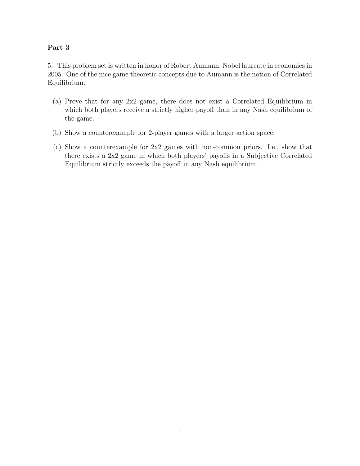## Part 3

5. This problem set is written in honor of Robert Aumann, Nobel laureate in economics in 2005. One of the nice game theoretic concepts due to Aumann is the notion of Correlated Equilibrium.

- (a) Prove that for any 2x2 game, there does not exist a Correlated Equilibrium in which both players receive a strictly higher payoff than in any Nash equilibrium of the game.
- (b) Show a counterexample for 2-player games with a larger action space.
- (c) Show a counterexample for 2x2 games with non-common priors. I.e., show that there exists a 2x2 game in which both players' payoffs in a Subjective Correlated Equilibrium strictly exceeds the payoff in any Nash equilibrium.